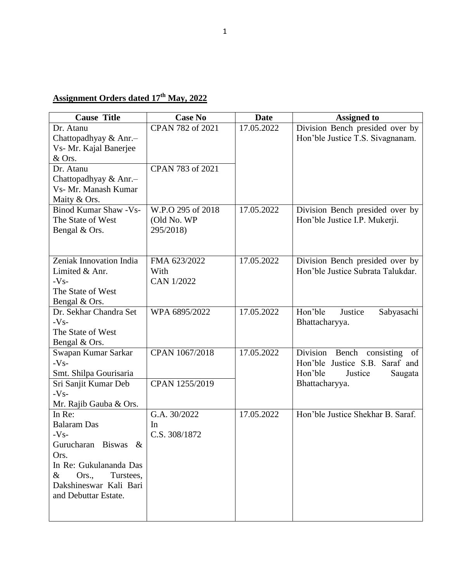## **Assignment Orders dated 17th May, 2022**

| <b>Cause Title</b>                      | <b>Case No</b>            | <b>Date</b> | <b>Assigned to</b>                                                   |
|-----------------------------------------|---------------------------|-------------|----------------------------------------------------------------------|
| Dr. Atanu                               | CPAN 782 of 2021          | 17.05.2022  | Division Bench presided over by                                      |
| Chattopadhyay & Anr.-                   |                           |             | Hon'ble Justice T.S. Sivagnanam.                                     |
| Vs- Mr. Kajal Banerjee                  |                           |             |                                                                      |
| & Ors.                                  |                           |             |                                                                      |
| Dr. Atanu                               | CPAN 783 of 2021          |             |                                                                      |
| Chattopadhyay & Anr.-                   |                           |             |                                                                      |
| Vs- Mr. Manash Kumar                    |                           |             |                                                                      |
| Maity & Ors.                            |                           |             |                                                                      |
| <b>Binod Kumar Shaw - Vs-</b>           | W.P.O 295 of 2018         | 17.05.2022  | Division Bench presided over by                                      |
| The State of West                       | (Old No. WP               |             | Hon'ble Justice I.P. Mukerji.                                        |
| Bengal & Ors.                           | 295/2018)                 |             |                                                                      |
|                                         |                           |             |                                                                      |
|                                         |                           |             |                                                                      |
| Zeniak Innovation India                 | FMA 623/2022              | 17.05.2022  | Division Bench presided over by<br>Hon'ble Justice Subrata Talukdar. |
| Limited & Anr.                          | With<br><b>CAN 1/2022</b> |             |                                                                      |
| $-Vs-$                                  |                           |             |                                                                      |
| The State of West                       |                           |             |                                                                      |
| Bengal & Ors.<br>Dr. Sekhar Chandra Set | WPA 6895/2022             | 17.05.2022  | Hon'ble<br>Justice                                                   |
| $-Vs-$                                  |                           |             | Sabyasachi<br>Bhattacharyya.                                         |
| The State of West                       |                           |             |                                                                      |
| Bengal & Ors.                           |                           |             |                                                                      |
| Swapan Kumar Sarkar                     | CPAN 1067/2018            | 17.05.2022  | Division Bench consisting of                                         |
| $-Vs-$                                  |                           |             | Hon'ble Justice S.B. Saraf and                                       |
| Smt. Shilpa Gourisaria                  |                           |             | Hon'ble<br>Justice<br>Saugata                                        |
| Sri Sanjit Kumar Deb                    | CPAN 1255/2019            |             | Bhattacharyya.                                                       |
| $-Vs-$                                  |                           |             |                                                                      |
| Mr. Rajib Gauba & Ors.                  |                           |             |                                                                      |
| In Re:                                  | G.A. 30/2022              | 17.05.2022  | Hon'ble Justice Shekhar B. Saraf.                                    |
| <b>Balaram</b> Das                      | In                        |             |                                                                      |
| $-Vs-$                                  | C.S. 308/1872             |             |                                                                      |
| Gurucharan Biswas &                     |                           |             |                                                                      |
| Ors.                                    |                           |             |                                                                      |
| In Re: Gukulananda Das                  |                           |             |                                                                      |
| Turstees,<br>&<br>Ors.,                 |                           |             |                                                                      |
| Dakshineswar Kali Bari                  |                           |             |                                                                      |
| and Debuttar Estate.                    |                           |             |                                                                      |
|                                         |                           |             |                                                                      |
|                                         |                           |             |                                                                      |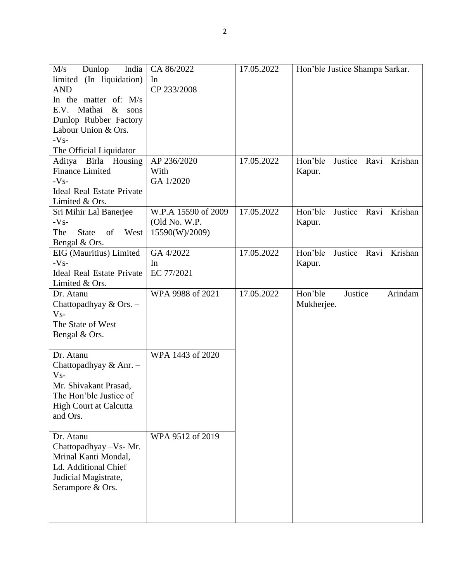| M/s<br>Dunlop<br>India                   | CA 86/2022          | 17.05.2022 | Hon'ble Justice Shampa Sarkar.  |
|------------------------------------------|---------------------|------------|---------------------------------|
| limited (In liquidation)                 | In                  |            |                                 |
| <b>AND</b>                               | CP 233/2008         |            |                                 |
| In the matter of: M/s                    |                     |            |                                 |
| E.V. Mathai<br>$\&$<br>sons              |                     |            |                                 |
| Dunlop Rubber Factory                    |                     |            |                                 |
| Labour Union & Ors.                      |                     |            |                                 |
| $-Vs-$                                   |                     |            |                                 |
| The Official Liquidator                  |                     |            |                                 |
| Aditya Birla Housing                     | AP 236/2020         | 17.05.2022 | Hon'ble<br>Justice Ravi Krishan |
| <b>Finance Limited</b>                   | With                |            | Kapur.                          |
| $-Vs-$                                   | GA 1/2020           |            |                                 |
| <b>Ideal Real Estate Private</b>         |                     |            |                                 |
| Limited & Ors.                           |                     |            |                                 |
| Sri Mihir Lal Banerjee                   | W.P.A 15590 of 2009 | 17.05.2022 | Hon'ble<br>Justice Ravi Krishan |
| $-Vs-$                                   | (Old No. W.P.       |            | Kapur.                          |
| West<br>The<br><b>State</b><br>of        | 15590(W)/2009)      |            |                                 |
| Bengal & Ors.                            |                     |            |                                 |
| EIG (Mauritius) Limited                  | GA 4/2022           | 17.05.2022 | Hon'ble<br>Justice Ravi Krishan |
| $-Vs-$                                   | In.                 |            | Kapur.                          |
| <b>Ideal Real Estate Private</b>         | EC 77/2021          |            |                                 |
| Limited & Ors.                           |                     |            |                                 |
| Dr. Atanu                                | WPA 9988 of 2021    | 17.05.2022 | Hon'ble<br>Justice<br>Arindam   |
| Chattopadhyay & Ors. -                   |                     |            | Mukherjee.                      |
| V <sub>S</sub>                           |                     |            |                                 |
|                                          |                     |            |                                 |
|                                          |                     |            |                                 |
| The State of West                        |                     |            |                                 |
| Bengal & Ors.                            |                     |            |                                 |
| Dr. Atanu                                | WPA 1443 of 2020    |            |                                 |
|                                          |                     |            |                                 |
| Chattopadhyay & Anr. -<br>V <sub>S</sub> |                     |            |                                 |
|                                          |                     |            |                                 |
| Mr. Shivakant Prasad,                    |                     |            |                                 |
| The Hon'ble Justice of                   |                     |            |                                 |
| <b>High Court at Calcutta</b>            |                     |            |                                 |
| and Ors.                                 |                     |            |                                 |
|                                          |                     |            |                                 |
| Dr. Atanu                                | WPA 9512 of 2019    |            |                                 |
| Chattopadhyay - Vs- Mr.                  |                     |            |                                 |
| Mrinal Kanti Mondal,                     |                     |            |                                 |
| Ld. Additional Chief                     |                     |            |                                 |
| Judicial Magistrate,                     |                     |            |                                 |
| Serampore & Ors.                         |                     |            |                                 |
|                                          |                     |            |                                 |